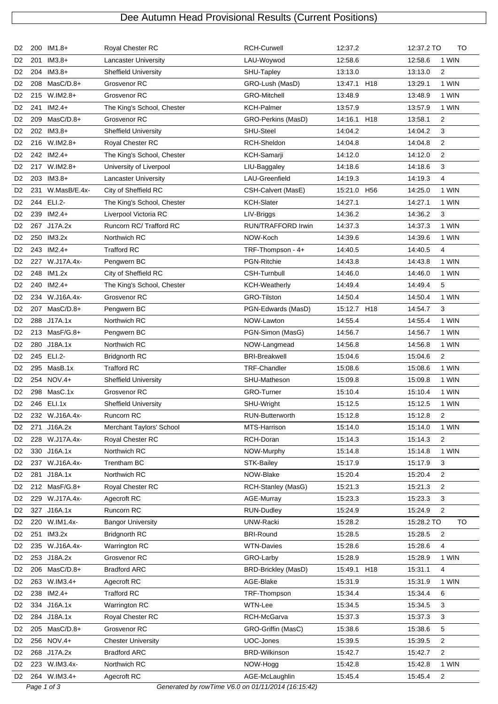## Dee Autumn Head Provisional Results (Current Positions)

| D <sub>2</sub> |             | 200 IM1.8+     | Royal Chester RC                                   | <b>RCH-Curwell</b>        | 12:37.2                    | 12:37.2 TO | TO             |
|----------------|-------------|----------------|----------------------------------------------------|---------------------------|----------------------------|------------|----------------|
| D <sub>2</sub> | 201         | $IM3.8+$       | <b>Lancaster University</b>                        | LAU-Woywod                | 12:58.6                    | 12:58.6    | 1 WIN          |
| D <sub>2</sub> |             | 204 IM3.8+     | <b>Sheffield University</b>                        | SHU-Tapley                | 13:13.0                    | 13:13.0    | 2              |
| D <sub>2</sub> |             | 208 MasC/D.8+  | Grosvenor RC                                       | GRO-Lush (MasD)           | 13:47.1 H18                | 13:29.1    | 1 WIN          |
| D <sub>2</sub> |             | 215 W.IM2.8+   | Grosvenor RC                                       | <b>GRO-Mitchell</b>       | 13:48.9                    | 13:48.9    | 1 WIN          |
| D <sub>2</sub> |             | 241 IM2.4+     | The King's School, Chester                         | <b>KCH-Palmer</b>         | 13:57.9                    | 13:57.9    | 1 WIN          |
| D <sub>2</sub> |             | 209 MasC/D.8+  | Grosvenor RC                                       | GRO-Perkins (MasD)        | 14:16.1 H18                | 13:58.1    | $\overline{2}$ |
| D <sub>2</sub> |             | 202 IM3.8+     | <b>Sheffield University</b>                        | <b>SHU-Steel</b>          | 14:04.2                    | 14:04.2    | 3              |
| D <sub>2</sub> |             | 216 W.IM2.8+   | Royal Chester RC                                   | RCH-Sheldon               | 14:04.8                    | 14:04.8    | 2              |
| D <sub>2</sub> |             | 242 IM2.4+     | The King's School, Chester                         | KCH-Samarji               | 14:12.0                    | 14:12.0    | $\overline{2}$ |
| D <sub>2</sub> |             | 217 W.IM2.8+   | University of Liverpool                            | LIU-Baggaley              | 14:18.6                    | 14:18.6    | 3              |
| D <sub>2</sub> |             | 203 IM3.8+     | Lancaster University                               | LAU-Greenfield            | 14:19.3                    | 14:19.3    | 4              |
| D <sub>2</sub> | 231         | W.MasB/E.4x-   | City of Sheffield RC                               | CSH-Calvert (MasE)        | 15:21.0<br>H <sub>56</sub> | 14:25.0    | 1 WIN          |
| D <sub>2</sub> |             | 244 ELI.2-     | The King's School, Chester                         | <b>KCH-Slater</b>         | 14:27.1                    | 14:27.1    | 1 WIN          |
| D <sub>2</sub> |             | 239 IM2.4+     | Liverpool Victoria RC                              | LIV-Briggs                | 14:36.2                    | 14:36.2    | 3              |
| D <sub>2</sub> |             | 267 J17A.2x    | Runcorn RC/ Trafford RC                            | <b>RUN/TRAFFORD Irwin</b> | 14:37.3                    | 14:37.3    | 1 WIN          |
| D <sub>2</sub> |             | 250 IM3.2x     | Northwich RC                                       | NOW-Koch                  | 14:39.6                    | 14:39.6    | 1 WIN          |
| D <sub>2</sub> |             | 243 IM2.4+     | <b>Trafford RC</b>                                 | TRF-Thompson - 4+         | 14:40.5                    | 14:40.5    | $\overline{4}$ |
| D <sub>2</sub> |             | 227 W.J17A.4x- | Pengwern BC                                        | PGN-Ritchie               | 14:43.8                    | 14:43.8    | 1 WIN          |
| D <sub>2</sub> |             | 248 IM1.2x     | City of Sheffield RC                               | CSH-Turnbull              | 14:46.0                    | 14:46.0    | 1 WIN          |
| D <sub>2</sub> |             | 240 IM2.4+     | The King's School, Chester                         | <b>KCH-Weatherly</b>      | 14:49.4                    | 14:49.4    | 5              |
| D <sub>2</sub> |             | 234 W.J16A.4x- | Grosvenor RC                                       | <b>GRO-Tilston</b>        | 14:50.4                    | 14:50.4    | 1 WIN          |
| D <sub>2</sub> |             | 207 MasC/D.8+  | Pengwern BC                                        | PGN-Edwards (MasD)        | 15:12.7 H18                | 14:54.7    | 3              |
| D <sub>2</sub> |             | 288 J17A.1x    | Northwich RC                                       | NOW-Lawton                | 14.55.4                    | 14:55.4    | 1 WIN          |
| D <sub>2</sub> |             | 213 MasF/G.8+  | Pengwern BC                                        | PGN-Simon (MasG)          | 14:56.7                    | 14:56.7    | 1 WIN          |
| D <sub>2</sub> |             | 280 J18A.1x    | Northwich RC                                       | NOW-Langmead              | 14:56.8                    | 14:56.8    | 1 WIN          |
| D <sub>2</sub> |             | 245 ELI.2-     | <b>Bridgnorth RC</b>                               | <b>BRI-Breakwell</b>      | 15:04.6                    | 15:04.6    | $\overline{2}$ |
| D <sub>2</sub> |             | 295 MasB.1x    | <b>Trafford RC</b>                                 | TRF-Chandler              | 15:08.6                    | 15:08.6    | 1 WIN          |
| D <sub>2</sub> |             | 254 NOV.4+     | <b>Sheffield University</b>                        | SHU-Matheson              | 15:09.8                    | 15:09.8    | 1 WIN          |
| D <sub>2</sub> |             | 298 MasC.1x    | Grosvenor RC                                       | <b>GRO-Turner</b>         | 15:10.4                    | 15:10.4    | 1 WIN          |
| D <sub>2</sub> |             | 246 ELI.1x     | <b>Sheffield University</b>                        | SHU-Wright                | 15:12.5                    | 15:12.5    | 1 WIN          |
| D <sub>2</sub> |             | 232 W.J16A.4x- | Runcorn RC                                         | RUN-Butterworth           | 15:12.8                    | 15:12.8    | $\mathcal{P}$  |
| D <sub>2</sub> |             | 271 J16A.2x    | Merchant Taylors' School                           | MTS-Harrison              | 15:14.0                    | 15:14.0    | 1 WIN          |
| D <sub>2</sub> |             | 228 W.J17A.4x- | Royal Chester RC                                   | RCH-Doran                 | 15:14.3                    | 15:14.3    | $\overline{2}$ |
| D <sub>2</sub> |             | 330 J16A.1x    | Northwich RC                                       | NOW-Murphy                | 15:14.8                    | 15:14.8    | 1 WIN          |
| D <sub>2</sub> |             | 237 W.J16A.4x- | Trentham BC                                        | STK-Bailey                | 15:17.9                    | 15:17.9    | 3              |
| D <sub>2</sub> |             | 281 J18A.1x    | Northwich RC                                       | NOW-Blake                 | 15:20.4                    | 15:20.4    | $\overline{2}$ |
| D <sub>2</sub> |             | 212 MasF/G.8+  | Royal Chester RC                                   | RCH-Stanley (MasG)        | 15:21.3                    | 15:21.3    | $\overline{2}$ |
| D <sub>2</sub> |             | 229 W.J17A.4x- | Agecroft RC                                        | <b>AGE-Murray</b>         | 15:23.3                    | 15:23.3    | 3              |
| D <sub>2</sub> |             | 327 J16A.1x    | Runcorn RC                                         | <b>RUN-Dudley</b>         | 15:24.9                    | 15:24.9    | $\overline{2}$ |
| D <sub>2</sub> |             | 220 W.IM1.4x-  | <b>Bangor University</b>                           | UNW-Racki                 | 15:28.2                    | 15:28.2 TO | TO             |
| D <sub>2</sub> | 251         | IM3.2x         | <b>Bridgnorth RC</b>                               | <b>BRI-Round</b>          | 15:28.5                    | 15:28.5    | $\overline{2}$ |
| D <sub>2</sub> |             | 235 W.J16A.4x- | Warrington RC                                      | <b>WTN-Davies</b>         | 15:28.6                    | 15:28.6    | 4              |
| D <sub>2</sub> |             | 253 J18A.2x    | Grosvenor RC                                       | GRO-Larby                 | 15:28.9                    | 15:28.9    | 1 WIN          |
| D <sub>2</sub> |             | 206 MasC/D.8+  | <b>Bradford ARC</b>                                | BRD-Brickley (MasD)       | 15:49.1<br>H <sub>18</sub> | 15:31.1    | 4              |
| D <sub>2</sub> |             | 263 W.IM3.4+   | Agecroft RC                                        | AGE-Blake                 | 15:31.9                    | 15:31.9    | 1 WIN          |
| D <sub>2</sub> |             | 238 IM2.4+     | Trafford RC                                        | TRF-Thompson              | 15:34.4                    | 15:34.4    | 6              |
| D <sub>2</sub> |             | 334 J16A.1x    | Warrington RC                                      | WTN-Lee                   | 15:34.5                    | 15:34.5    | 3              |
| D <sub>2</sub> |             | 284 J18A.1x    | Royal Chester RC                                   | RCH-McGarva               | 15:37.3                    | 15:37.3    | 3              |
| D <sub>2</sub> |             | 205 MasC/D.8+  | Grosvenor RC                                       | GRO-Griffin (MasC)        | 15:38.6                    | 15:38.6    | 5              |
| D <sub>2</sub> |             | 256 NOV.4+     | <b>Chester University</b>                          | UOC-Jones                 | 15:39.5                    | 15:39.5    | $\overline{2}$ |
| D <sub>2</sub> |             | 268 J17A.2x    | <b>Bradford ARC</b>                                | <b>BRD-Wilkinson</b>      | 15:42.7                    | 15:42.7    | $\overline{2}$ |
| D <sub>2</sub> |             | 223 W.IM3.4x-  | Northwich RC                                       | NOW-Hogg                  | 15:42.8                    | 15:42.8    | 1 WIN          |
| D <sub>2</sub> |             | 264 W.IM3.4+   | Agecroft RC                                        | AGE-McLaughlin            | 15:45.4                    | 15.45.4    | $\overline{c}$ |
|                | Page 1 of 3 |                | Generated by rowTime V6.0 on 01/11/2014 (16:15:42) |                           |                            |            |                |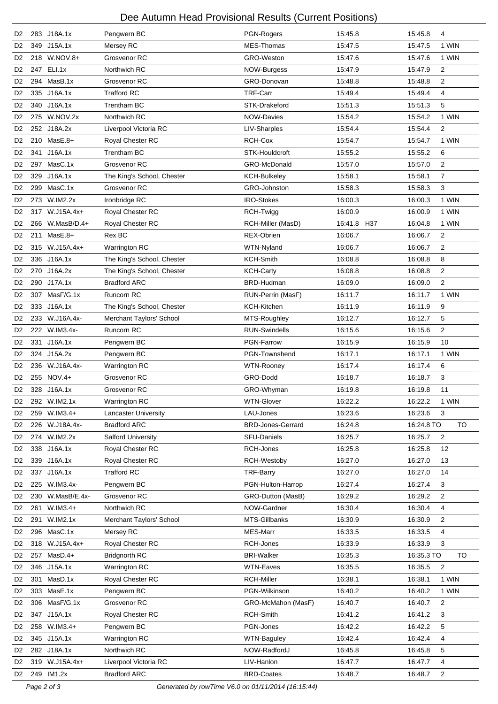|                                  | Dee Autumn Head Provisional Results (Current Positions) |                 |                            |                          |             |            |                |  |  |
|----------------------------------|---------------------------------------------------------|-----------------|----------------------------|--------------------------|-------------|------------|----------------|--|--|
| D <sub>2</sub>                   |                                                         | 283 J18A.1x     | Pengwern BC                | PGN-Rogers               | 15:45.8     | 15:45.8    | 4              |  |  |
| D <sub>2</sub>                   |                                                         | 349 J15A.1x     | Mersey RC                  | MES-Thomas               | 15:47.5     | 15:47.5    | 1 WIN          |  |  |
| D <sub>2</sub>                   |                                                         | 218 W.NOV.8+    | Grosvenor RC               | GRO-Weston               | 15:47.6     | 15:47.6    | 1 WIN          |  |  |
| D <sub>2</sub>                   |                                                         | 247 ELI.1x      | Northwich RC               | NOW-Burgess              | 15:47.9     | 15:47.9    | 2              |  |  |
| D <sub>2</sub>                   |                                                         | 294 MasB.1x     | Grosvenor RC               | GRO-Donovan              | 15:48.8     | 15:48.8    | 2              |  |  |
| D <sub>2</sub>                   |                                                         | 335 J16A.1x     | <b>Trafford RC</b>         | <b>TRF-Carr</b>          | 15:49.4     | 15:49.4    | 4              |  |  |
| D <sub>2</sub>                   |                                                         | 340 J16A.1x     | <b>Trentham BC</b>         | STK-Drakeford            | 15:51.3     | 15:51.3    | 5              |  |  |
| D <sub>2</sub>                   |                                                         | 275 W.NOV.2x    | Northwich RC               | <b>NOW-Davies</b>        | 15:54.2     | 15:54.2    | 1 WIN          |  |  |
| D <sub>2</sub>                   |                                                         | 252 J18A.2x     | Liverpool Victoria RC      | LIV-Sharples             | 15:54.4     | 15:54.4    | $\overline{c}$ |  |  |
| D <sub>2</sub>                   |                                                         | 210 MasE.8+     | Royal Chester RC           | RCH-Cox                  | 15:54.7     | 15:54.7    | 1 WIN          |  |  |
| D <sub>2</sub>                   | 341                                                     | J16A.1x         | <b>Trentham BC</b>         | STK-Houldcroft           | 15:55.2     | 15:55.2    | 6              |  |  |
| D <sub>2</sub>                   |                                                         | 297 MasC.1x     | Grosvenor RC               | GRO-McDonald             | 15:57.0     | 15:57.0    | 2              |  |  |
| D <sub>2</sub>                   |                                                         | 329 J16A.1x     | The King's School, Chester | <b>KCH-Bulkeley</b>      | 15:58.1     | 15:58.1    | $\overline{7}$ |  |  |
| D <sub>2</sub>                   |                                                         | 299 MasC.1x     | Grosvenor RC               | GRO-Johnston             | 15:58.3     | 15:58.3    | 3              |  |  |
| D <sub>2</sub>                   |                                                         | 273 W.IM2.2x    | Ironbridge RC              | <b>IRO-Stokes</b>        | 16:00.3     | 16:00.3    | 1 WIN          |  |  |
| D <sub>2</sub>                   |                                                         | 317 W.J15A.4x+  | Royal Chester RC           | RCH-Twigg                | 16:00.9     | 16:00.9    | 1 WIN          |  |  |
| D <sub>2</sub>                   |                                                         | 266 W.MasB/D.4+ | Royal Chester RC           | RCH-Miller (MasD)        | 16:41.8 H37 | 16:04.8    | 1 WIN          |  |  |
| D <sub>2</sub>                   |                                                         | 211 MasE.8+     | Rex BC                     | <b>REX-Obrien</b>        | 16:06.7     | 16:06.7    | 2              |  |  |
| D <sub>2</sub>                   |                                                         | 315 W.J15A.4x+  | Warrington RC              | WTN-Nyland               | 16:06.7     | 16:06.7    | $\overline{2}$ |  |  |
| D <sub>2</sub>                   |                                                         | 336 J16A.1x     | The King's School, Chester | <b>KCH-Smith</b>         | 16:08.8     | 16:08.8    | 8              |  |  |
| D <sub>2</sub>                   |                                                         | 270 J16A.2x     | The King's School, Chester | <b>KCH-Carty</b>         | 16:08.8     | 16:08.8    | 2              |  |  |
| D <sub>2</sub>                   | 290                                                     | J17A.1x         | <b>Bradford ARC</b>        | BRD-Hudman               | 16:09.0     | 16:09.0    | 2              |  |  |
| D <sub>2</sub>                   |                                                         | 307 MasF/G.1x   | Runcorn RC                 | RUN-Perrin (MasF)        | 16:11.7     | 16:11.7    | 1 WIN          |  |  |
| D <sub>2</sub>                   |                                                         | 333 J16A.1x     | The King's School, Chester | KCH-Kitchen              | 16:11.9     | 16:11.9    | 9              |  |  |
| D <sub>2</sub>                   |                                                         | 233 W.J16A.4x-  | Merchant Taylors' School   | MTS-Roughley             | 16:12.7     | 16:12.7    | 5              |  |  |
| D <sub>2</sub>                   |                                                         | 222 W.IM3.4x-   | Runcorn RC                 | <b>RUN-Swindells</b>     | 16:15.6     | 16:15.6    | 2              |  |  |
| D <sub>2</sub>                   |                                                         | 331 J16A.1x     | Pengwern BC                | <b>PGN-Farrow</b>        | 16:15.9     | 16:15.9    | 10             |  |  |
| D <sub>2</sub>                   |                                                         | 324 J15A.2x     | Pengwern BC                | PGN-Townshend            | 16:17.1     | 16:17.1    | 1 WIN          |  |  |
| D <sub>2</sub>                   |                                                         | 236 W.J16A.4x-  | Warrington RC              | <b>WTN-Rooney</b>        | 16:17.4     | 16:17.4    | 6              |  |  |
| D <sub>2</sub>                   |                                                         | 255 NOV.4+      | Grosvenor RC               | GRO-Dodd                 | 16:18.7     | 16:18.7    | 3              |  |  |
| D <sub>2</sub>                   |                                                         | 328 J16A.1x     | Grosvenor RC               | GRO-Whyman               | 16:19.8     | 16:19.8    | 11             |  |  |
| D <sub>2</sub>                   |                                                         | 292 W.IM2.1x    | Warrington RC              | <b>WTN-Glover</b>        | 16:22.2     | 16:22.2    | 1 WIN          |  |  |
| D <sub>2</sub>                   | 259                                                     | $W.IM3.4+$      | Lancaster University       | LAU-Jones                | 16:23.6     | 16:23.6    | 3              |  |  |
| D <sub>2</sub>                   |                                                         | 226 W.J18A.4x-  | <b>Bradford ARC</b>        | <b>BRD-Jones-Gerrard</b> | 16:24.8     | 16:24.8 TO | <b>TO</b>      |  |  |
| D <sub>2</sub>                   |                                                         | 274 W.IM2.2x    | <b>Salford University</b>  | SFU-Daniels              | 16:25.7     | 16:25.7    | 2              |  |  |
| D <sub>2</sub>                   | 338                                                     | J16A.1x         | Royal Chester RC           | RCH-Jones                | 16:25.8     | 16:25.8    | 12             |  |  |
| D <sub>2</sub>                   |                                                         | 339 J16A.1x     | Royal Chester RC           | RCH-Westoby              | 16:27.0     | 16:27.0    | 13             |  |  |
| D <sub>2</sub>                   |                                                         | 337 J16A.1x     | <b>Trafford RC</b>         | TRF-Barry                | 16:27.0     | 16:27.0    | 14             |  |  |
| D <sub>2</sub>                   |                                                         | 225 W.IM3.4x-   | Pengwern BC                | PGN-Hulton-Harrop        | 16:27.4     | 16:27.4    | 3              |  |  |
| D <sub>2</sub>                   | 230                                                     | W.MasB/E.4x-    | Grosvenor RC               | GRO-Dutton (MasB)        | 16:29.2     | 16:29.2    | $\overline{c}$ |  |  |
| D <sub>2</sub>                   | 261                                                     | $W.IM3.4+$      | Northwich RC               | NOW-Gardner              | 16:30.4     | 16:30.4    | 4              |  |  |
| D <sub>2</sub>                   | 291                                                     | W.IM2.1x        | Merchant Taylors' School   | MTS-Gillbanks            | 16:30.9     | 16:30.9    | $\overline{2}$ |  |  |
| D <sub>2</sub>                   |                                                         | 296 MasC.1x     | Mersey RC                  | MES-Marr                 | 16:33.5     | 16:33.5    | 4              |  |  |
| D <sub>2</sub>                   |                                                         | 318 W.J15A.4x+  | Royal Chester RC           | RCH-Jones                | 16:33.9     | 16:33.9    | 3              |  |  |
| D <sub>2</sub>                   |                                                         | 257 MasD.4+     | <b>Bridgnorth RC</b>       | <b>BRI-Walker</b>        | 16:35.3     | 16:35.3 TO | TO             |  |  |
| D <sub>2</sub>                   |                                                         | 346 J15A.1x     | Warrington RC              | WTN-Eaves                | 16:35.5     | 16:35.5    | 2              |  |  |
| D <sub>2</sub>                   | 301                                                     | MasD.1x         | Royal Chester RC           | <b>RCH-Miller</b>        | 16:38.1     | 16:38.1    | 1 WIN          |  |  |
| D <sub>2</sub>                   |                                                         | 303 MasE.1x     | Pengwern BC                | PGN-Wilkinson            | 16:40.2     | 16:40.2    | 1 WIN          |  |  |
| D <sub>2</sub>                   |                                                         | 306 MasF/G.1x   | Grosvenor RC               | GRO-McMahon (MasF)       | 16:40.7     | 16:40.7    | $\overline{2}$ |  |  |
| D <sub>2</sub>                   | 347                                                     | J15A.1x         | Royal Chester RC           | RCH-Smith                | 16:41.2     | 16:41.2    | 3              |  |  |
|                                  |                                                         | 258 W.IM3.4+    | Pengwern BC                | PGN-Jones                | 16:42.2     | 16:42.2    | 5              |  |  |
| D <sub>2</sub><br>D <sub>2</sub> |                                                         | 345 J15A.1x     | Warrington RC              | <b>WTN-Baguley</b>       | 16:42.4     | 16:42.4    | 4              |  |  |
| D <sub>2</sub>                   |                                                         | 282 J18A.1x     | Northwich RC               | NOW-RadfordJ             | 16:45.8     | 16:45.8    | 5              |  |  |
| D <sub>2</sub>                   |                                                         | 319 W.J15A.4x+  | Liverpool Victoria RC      | LIV-Hanlon               | 16:47.7     | 16:47.7    | 4              |  |  |
|                                  |                                                         |                 |                            | <b>BRD-Coates</b>        |             |            |                |  |  |
| D <sub>2</sub>                   |                                                         | 249 IM1.2x      | <b>Bradford ARC</b>        |                          | 16:48.7     | 16:48.7    | $\overline{2}$ |  |  |

Page 2 of 3 Generated by rowTime V6.0 on 01/11/2014 (16:15:44)